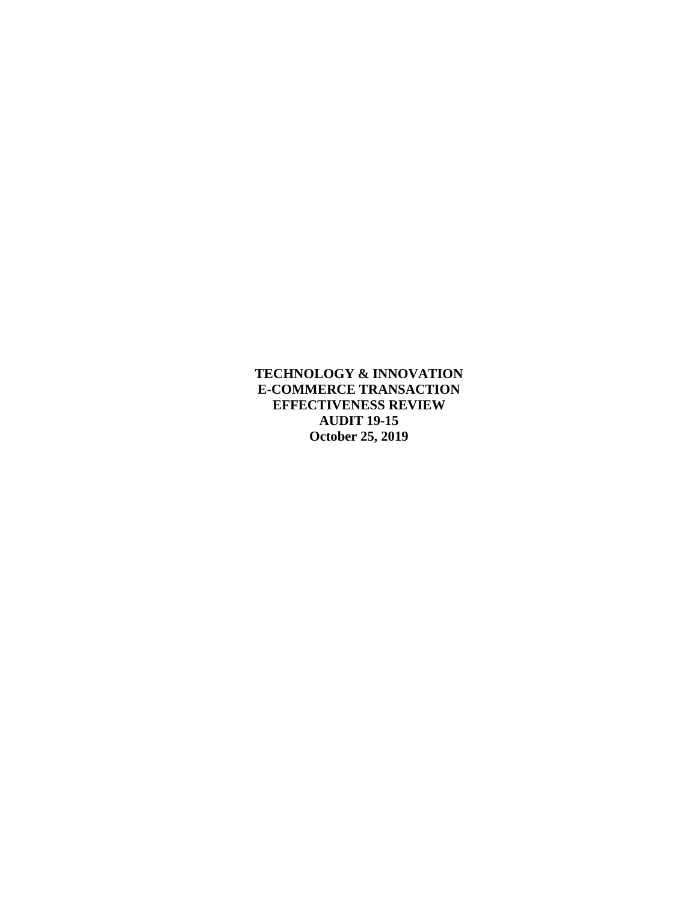**TECHNOLOGY & INNOVATION E-COMMERCE TRANSACTION EFFECTIVENESS REVIEW AUDIT 19-15 October 25, 2019**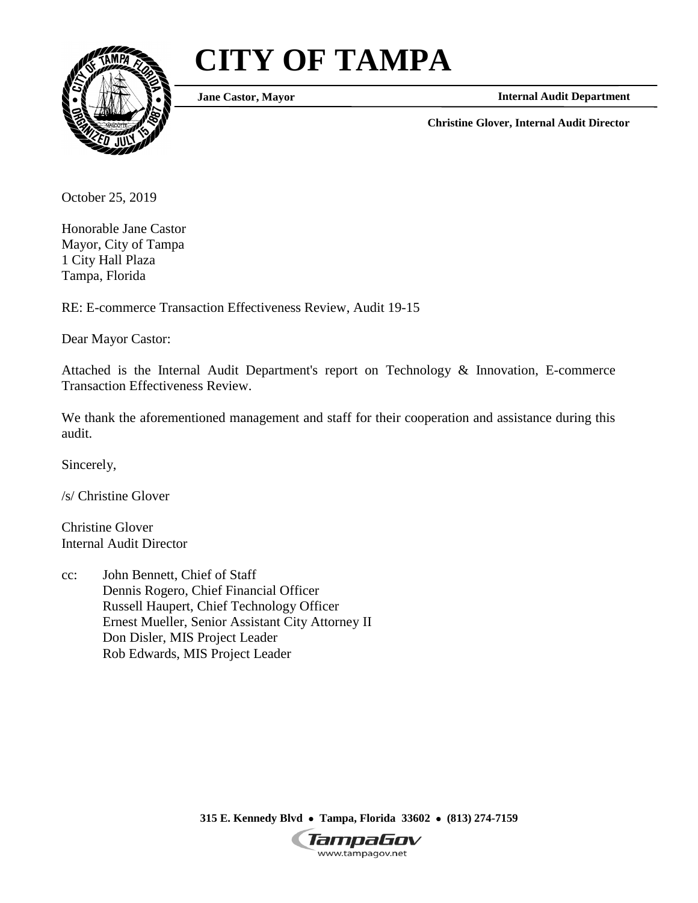# **CITY OF TAMPA**



**Jane Castor, Mayor**

**Internal Audit Department**

**Christine Glover, Internal Audit Director**

October 25, 2019

Honorable Jane Castor Mayor, City of Tampa 1 City Hall Plaza Tampa, Florida

RE: E-commerce Transaction Effectiveness Review, Audit 19-15

Dear Mayor Castor:

Attached is the Internal Audit Department's report on Technology & Innovation, E-commerce Transaction Effectiveness Review.

We thank the aforementioned management and staff for their cooperation and assistance during this audit.

Sincerely,

/s/ Christine Glover

Christine Glover Internal Audit Director

cc: John Bennett, Chief of Staff Dennis Rogero, Chief Financial Officer Russell Haupert, Chief Technology Officer Ernest Mueller, Senior Assistant City Attorney II Don Disler, MIS Project Leader Rob Edwards, MIS Project Leader

**315 E. Kennedy Blvd Tampa, Florida 33602 (813) 274-7159**

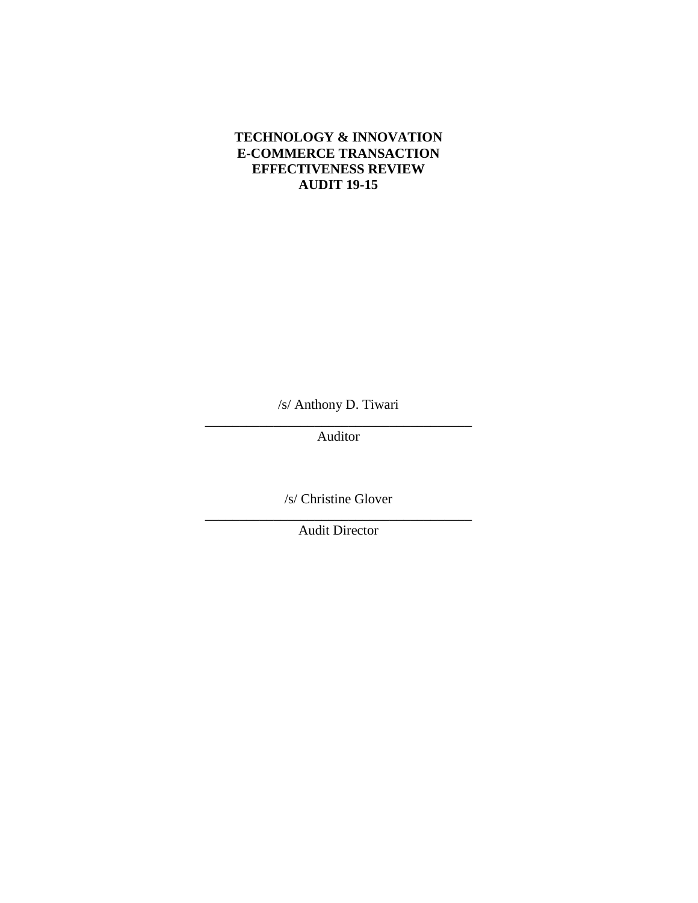# **TECHNOLOGY & INNOVATION E-COMMERCE TRANSACTION EFFECTIVENESS REVIEW AUDIT 19-15**

/s/ Anthony D. Tiwari \_\_\_\_\_\_\_\_\_\_\_\_\_\_\_\_\_\_\_\_\_\_\_\_\_\_\_\_\_\_\_\_\_\_\_\_\_\_\_

Auditor

/s/ Christine Glover \_\_\_\_\_\_\_\_\_\_\_\_\_\_\_\_\_\_\_\_\_\_\_\_\_\_\_\_\_\_\_\_\_\_\_\_\_\_\_

Audit Director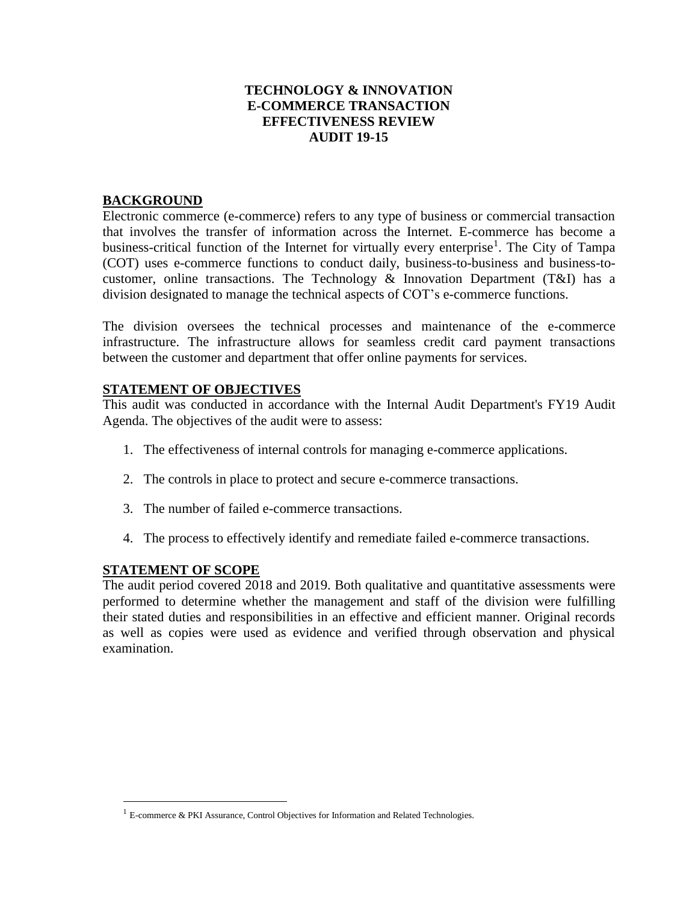## **TECHNOLOGY & INNOVATION E-COMMERCE TRANSACTION EFFECTIVENESS REVIEW AUDIT 19-15**

## **BACKGROUND**

Electronic commerce (e-commerce) refers to any type of business or commercial transaction that involves the transfer of information across the Internet. E-commerce has become a business-critical function of the Internet for virtually every enterprise<sup>1</sup>. The City of Tampa (COT) uses e-commerce functions to conduct daily, business-to-business and business-tocustomer, online transactions. The Technology & Innovation Department (T&I) has a division designated to manage the technical aspects of COT's e-commerce functions.

The division oversees the technical processes and maintenance of the e-commerce infrastructure. The infrastructure allows for seamless credit card payment transactions between the customer and department that offer online payments for services.

### **STATEMENT OF OBJECTIVES**

This audit was conducted in accordance with the Internal Audit Department's FY19 Audit Agenda. The objectives of the audit were to assess:

- 1. The effectiveness of internal controls for managing e-commerce applications.
- 2. The controls in place to protect and secure e-commerce transactions.
- 3. The number of failed e-commerce transactions.
- 4. The process to effectively identify and remediate failed e-commerce transactions.

#### **STATEMENT OF SCOPE**

 $\overline{a}$ 

The audit period covered 2018 and 2019. Both qualitative and quantitative assessments were performed to determine whether the management and staff of the division were fulfilling their stated duties and responsibilities in an effective and efficient manner. Original records as well as copies were used as evidence and verified through observation and physical examination.

<sup>&</sup>lt;sup>1</sup> E-commerce & PKI Assurance, Control Objectives for Information and Related Technologies.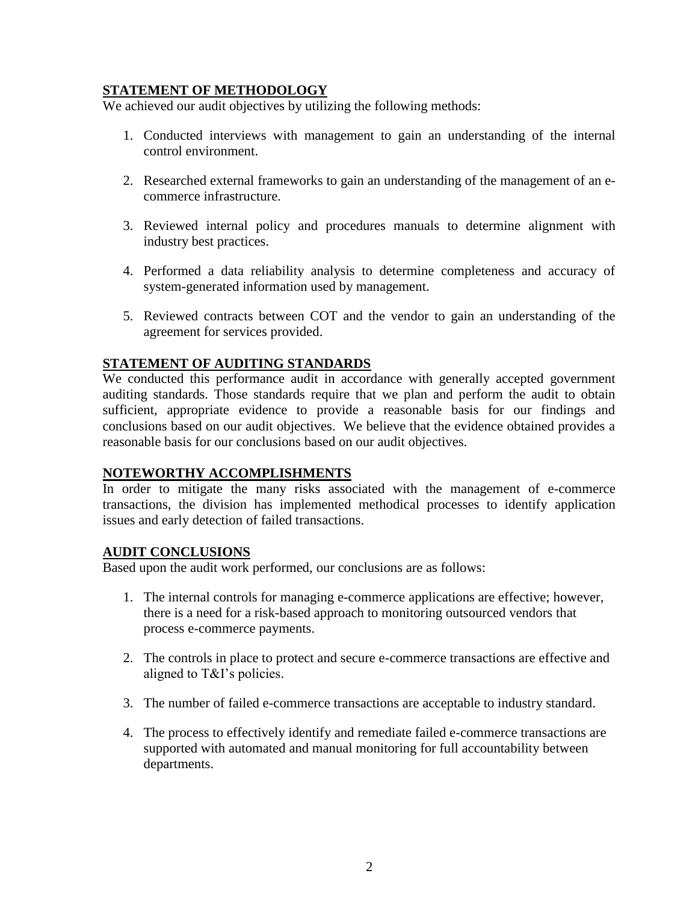# **STATEMENT OF METHODOLOGY**

We achieved our audit objectives by utilizing the following methods:

- 1. Conducted interviews with management to gain an understanding of the internal control environment.
- 2. Researched external frameworks to gain an understanding of the management of an ecommerce infrastructure.
- 3. Reviewed internal policy and procedures manuals to determine alignment with industry best practices.
- 4. Performed a data reliability analysis to determine completeness and accuracy of system-generated information used by management.
- 5. Reviewed contracts between COT and the vendor to gain an understanding of the agreement for services provided.

# **STATEMENT OF AUDITING STANDARDS**

We conducted this performance audit in accordance with generally accepted government auditing standards. Those standards require that we plan and perform the audit to obtain sufficient, appropriate evidence to provide a reasonable basis for our findings and conclusions based on our audit objectives. We believe that the evidence obtained provides a reasonable basis for our conclusions based on our audit objectives.

## **NOTEWORTHY ACCOMPLISHMENTS**

In order to mitigate the many risks associated with the management of e-commerce transactions, the division has implemented methodical processes to identify application issues and early detection of failed transactions.

## **AUDIT CONCLUSIONS**

Based upon the audit work performed, our conclusions are as follows:

- 1. The internal controls for managing e-commerce applications are effective; however, there is a need for a risk-based approach to monitoring outsourced vendors that process e-commerce payments.
- 2. The controls in place to protect and secure e-commerce transactions are effective and aligned to T&I's policies.
- 3. The number of failed e-commerce transactions are acceptable to industry standard.
- 4. The process to effectively identify and remediate failed e-commerce transactions are supported with automated and manual monitoring for full accountability between departments.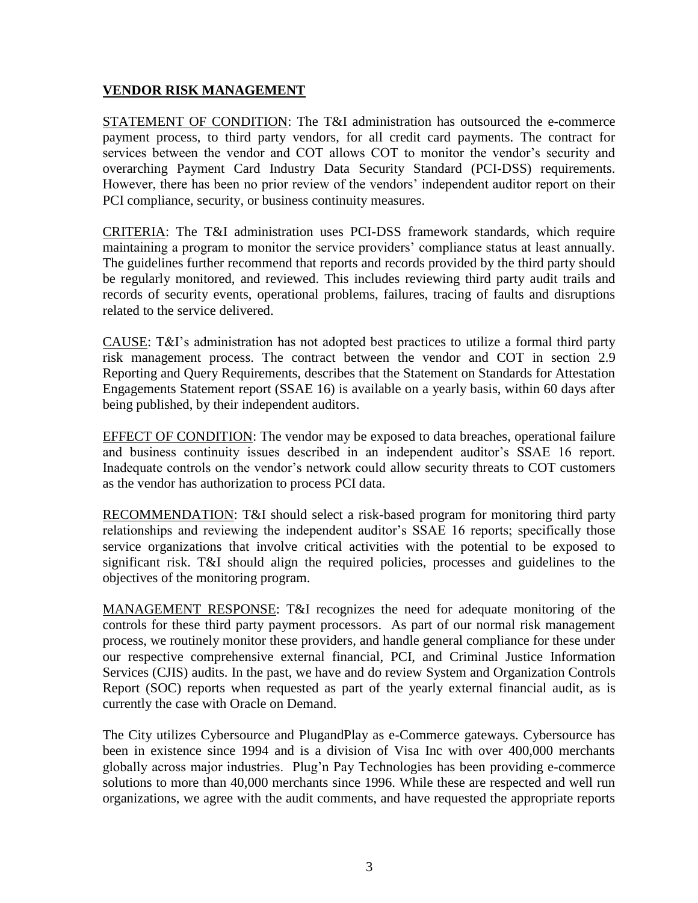# **VENDOR RISK MANAGEMENT**

STATEMENT OF CONDITION: The T&I administration has outsourced the e-commerce payment process, to third party vendors, for all credit card payments. The contract for services between the vendor and COT allows COT to monitor the vendor's security and overarching Payment Card Industry Data Security Standard (PCI-DSS) requirements. However, there has been no prior review of the vendors' independent auditor report on their PCI compliance, security, or business continuity measures.

CRITERIA: The T&I administration uses PCI-DSS framework standards, which require maintaining a program to monitor the service providers' compliance status at least annually. The guidelines further recommend that reports and records provided by the third party should be regularly monitored, and reviewed. This includes reviewing third party audit trails and records of security events, operational problems, failures, tracing of faults and disruptions related to the service delivered.

CAUSE: T&I's administration has not adopted best practices to utilize a formal third party risk management process. The contract between the vendor and COT in section 2.9 Reporting and Query Requirements, describes that the Statement on Standards for Attestation Engagements Statement report (SSAE 16) is available on a yearly basis, within 60 days after being published, by their independent auditors.

EFFECT OF CONDITION: The vendor may be exposed to data breaches, operational failure and business continuity issues described in an independent auditor's SSAE 16 report. Inadequate controls on the vendor's network could allow security threats to COT customers as the vendor has authorization to process PCI data.

RECOMMENDATION: T&I should select a risk-based program for monitoring third party relationships and reviewing the independent auditor's SSAE 16 reports; specifically those service organizations that involve critical activities with the potential to be exposed to significant risk. T&I should align the required policies, processes and guidelines to the objectives of the monitoring program.

MANAGEMENT RESPONSE: T&I recognizes the need for adequate monitoring of the controls for these third party payment processors. As part of our normal risk management process, we routinely monitor these providers, and handle general compliance for these under our respective comprehensive external financial, PCI, and Criminal Justice Information Services (CJIS) audits. In the past, we have and do review System and Organization Controls Report (SOC) reports when requested as part of the yearly external financial audit, as is currently the case with Oracle on Demand.

The City utilizes Cybersource and PlugandPlay as e-Commerce gateways. Cybersource has been in existence since 1994 and is a division of Visa Inc with over 400,000 merchants globally across major industries. Plug'n Pay Technologies has been providing e-commerce solutions to more than 40,000 merchants since 1996. While these are respected and well run organizations, we agree with the audit comments, and have requested the appropriate reports